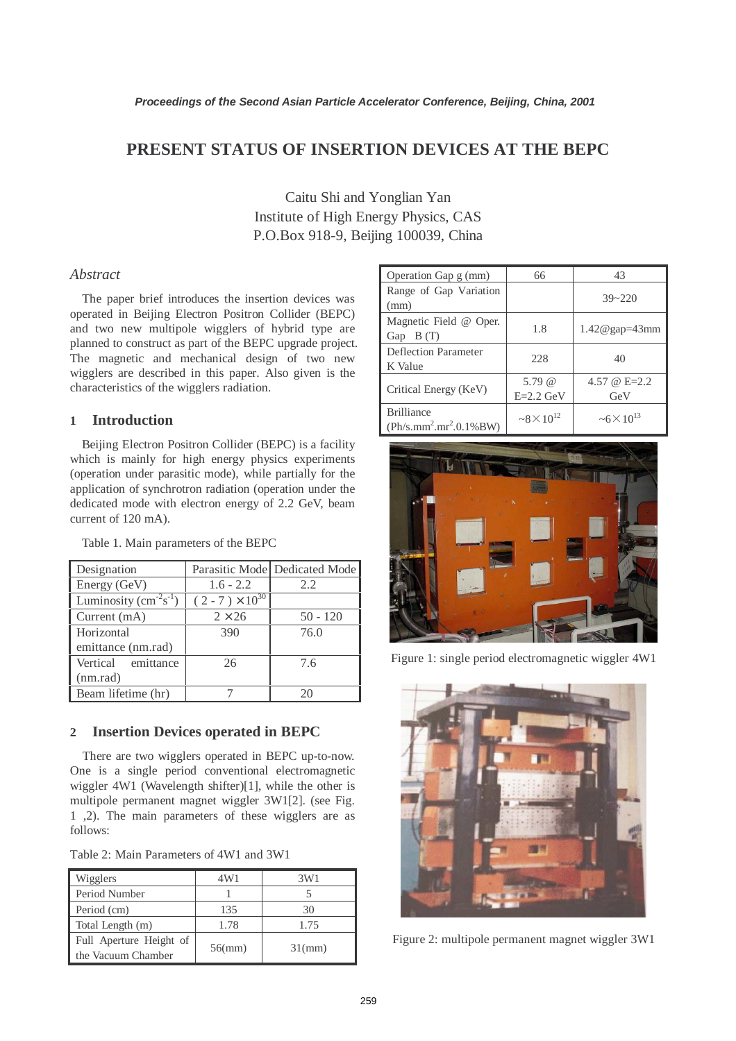# **PRESENT STATUS OF INSERTION DEVICES AT THE BEPC**

Caitu Shi and Yonglian Yan Institute of High Energy Physics, CAS P.O.Box 918-9, Beijing 100039, China

### *Abstract*

The paper brief introduces the insertion devices was operated in Beijing Electron Positron Collider (BEPC) and two new multipole wigglers of hybrid type are planned to construct as part of the BEPC upgrade project. The magnetic and mechanical design of two new wigglers are described in this paper. Also given is the characteristics of the wigglers radiation.

# **1 Introduction**

Beijing Electron Positron Collider (BEPC) is a facility which is mainly for high energy physics experiments (operation under parasitic mode), while partially for the application of synchrotron radiation (operation under the dedicated mode with electron energy of 2.2 GeV, beam current of 120 mA).

| Designation            |                          | Parasitic Mode Dedicated Mode |
|------------------------|--------------------------|-------------------------------|
| Energy (GeV)           | $1.6 - 2.2$              | 2.2                           |
| Luminosity $(cm-2s-1)$ | $(2 - 7) \times 10^{30}$ |                               |
| Current (mA)           | $2 \times 26$            | $50 - 120$                    |
| Horizontal             | 390                      | 76.0                          |
| emittance (nm.rad)     |                          |                               |
| Vertical emittance     | 26                       | 7.6                           |
| (nm.read)              |                          |                               |
| Beam lifetime (hr)     |                          | 20                            |

Table 1. Main parameters of the BEPC

#### **2 Insertion Devices operated in BEPC**

There are two wigglers operated in BEPC up-to-now. One is a single period conventional electromagnetic wiggler 4W1 (Wavelength shifter)[1], while the other is multipole permanent magnet wiggler 3W1[2]. (see Fig. 1 ,2). The main parameters of these wigglers are as follows:

Table 2: Main Parameters of 4W1 and 3W1

| Wigglers                                      | 4W1       | 3W1       |
|-----------------------------------------------|-----------|-----------|
| Period Number                                 |           |           |
| Period (cm)                                   | 135       | 30        |
| Total Length (m)                              | 1.78      | 1.75      |
| Full Aperture Height of<br>the Vacuum Chamber | $56$ (mm) | $31$ (mm) |

| Operation Gap g (mm)      | 66                         | 43                         |  |
|---------------------------|----------------------------|----------------------------|--|
| Range of Gap Variation    |                            | $39 - 220$                 |  |
| (mm)                      |                            |                            |  |
| Magnetic Field @ Oper.    |                            |                            |  |
| Gap $B(T)$                | 1.8                        | 1.42@gap=43mm              |  |
| Deflection Parameter      |                            |                            |  |
| K Value                   | 228                        | 40                         |  |
| Critical Energy (KeV)     | $5.79 \; \omega$           | 4.57 @ $E=2.2$             |  |
|                           | $E=2.2$ GeV                | GeV                        |  |
| <b>Brilliance</b>         | $\approx 8 \times 10^{12}$ | $\approx 6 \times 10^{13}$ |  |
| $(Ph/s.mm^2.mr^2.0.1%BW)$ |                            |                            |  |



Figure 1: single period electromagnetic wiggler 4W1



Figure 2: multipole permanent magnet wiggler 3W1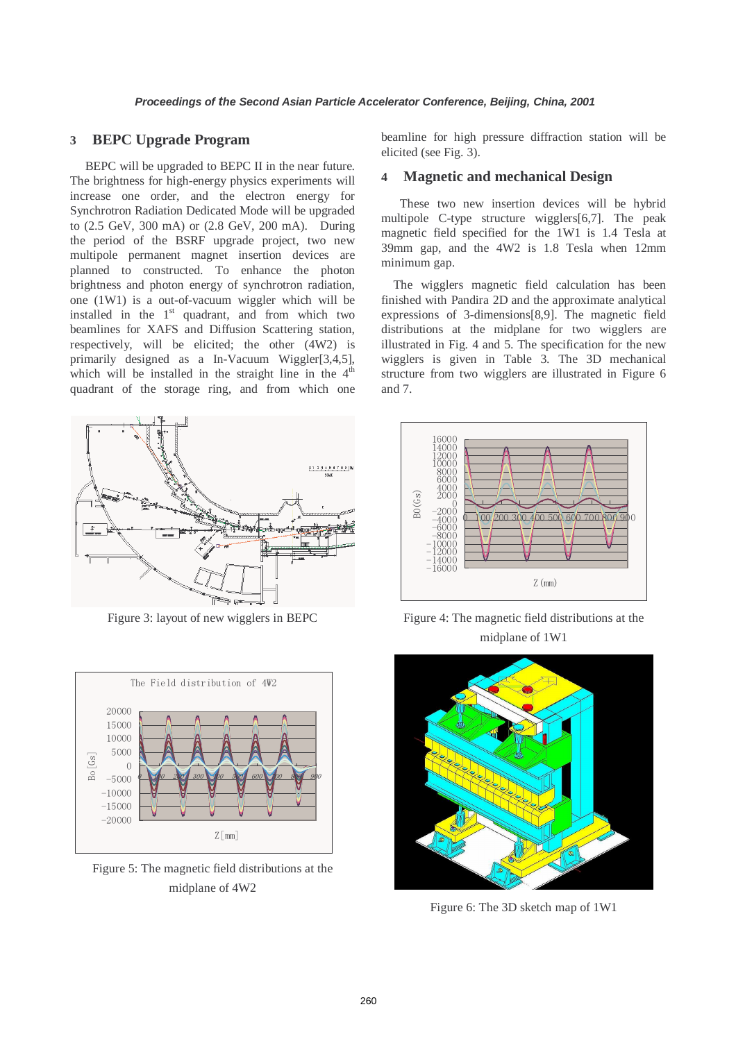#### **3 BEPC Upgrade Program**

BEPC will be upgraded to BEPC II in the near future. The brightness for high-energy physics experiments will increase one order, and the electron energy for Synchrotron Radiation Dedicated Mode will be upgraded to (2.5 GeV, 300 mA) or (2.8 GeV, 200 mA). During the period of the BSRF upgrade project, two new multipole permanent magnet insertion devices are planned to constructed. To enhance the photon brightness and photon energy of synchrotron radiation, one (1W1) is a out-of-vacuum wiggler which will be installed in the  $1<sup>st</sup>$  quadrant, and from which two beamlines for XAFS and Diffusion Scattering station, respectively, will be elicited; the other (4W2) is primarily designed as a In-Vacuum Wiggler[3,4,5], which will be installed in the straight line in the  $4<sup>th</sup>$ quadrant of the storage ring, and from which one



Figure 3: layout of new wigglers in BEPC



Figure 5: The magnetic field distributions at the midplane of 4W2

beamline for high pressure diffraction station will be elicited (see Fig. 3).

#### **4 Magnetic and mechanical Design**

These two new insertion devices will be hybrid multipole C-type structure wigglers[6,7]. The peak magnetic field specified for the 1W1 is 1.4 Tesla at 39mm gap, and the 4W2 is 1.8 Tesla when 12mm minimum gap.

The wigglers magnetic field calculation has been finished with Pandira 2D and the approximate analytical expressions of 3-dimensions[8,9]. The magnetic field distributions at the midplane for two wigglers are illustrated in Fig. 4 and 5. The specification for the new wigglers is given in Table 3. The 3D mechanical structure from two wigglers are illustrated in Figure 6 and 7.



Figure 4: The magnetic field distributions at the midplane of 1W1



Figure 6: The 3D sketch map of 1W1